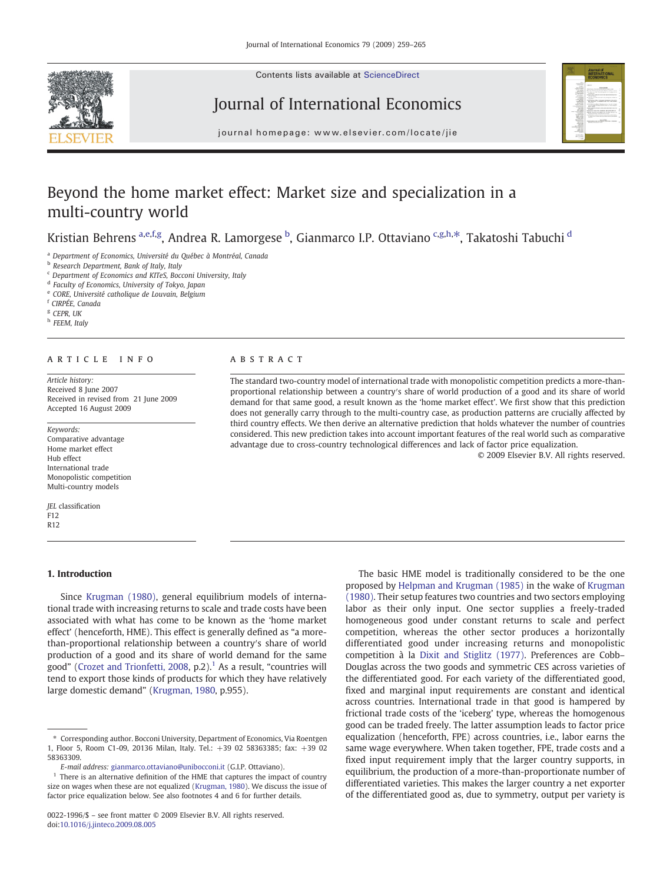

Contents lists available at ScienceDirect

# Journal of International Economics

journal homepage: www.elsevier.com/locate/jie

# Beyond the home market effect: Market size and specialization in a multi-country world

Kristian Behrens <sup>a,e,f,g</sup>, Andrea R. Lamorgese <sup>b</sup>, Gianmarco I.P. Ottaviano <sup>c,g,h,\*</sup>, Takatoshi Tabuchi <sup>d</sup>

<sup>a</sup> Department of Economics, Université du Québec à Montréal, Canada

<sup>b</sup> Research Department, Bank of Italy, Italy

<sup>c</sup> Department of Economics and KITeS, Bocconi University, Italy

<sup>d</sup> Faculty of Economics, University of Tokyo, Japan

<sup>e</sup> CORE, Université catholique de Louvain, Belgium

<sup>f</sup> CIRPÉE, Canada

 $S$  CFPR  $I$  IK

h FEEM, Italy

### article info abstract

Article history: Received 8 June 2007 Received in revised from 21 June 2009 Accepted 16 August 2009

Keywords: Comparative advantage Home market effect Hub effect International trade Monopolistic competition Multi-country models

JEL classification F12 R12

### 1. Introduction

Since [Krugman \(1980\)](#page--1-0), general equilibrium models of international trade with increasing returns to scale and trade costs have been associated with what has come to be known as the 'home market effect' (henceforth, HME). This effect is generally defined as "a morethan-proportional relationship between a country′s share of world production of a good and its share of world demand for the same good" [\(Crozet and Trionfetti, 2008](#page--1-0), p.2). $<sup>1</sup>$  As a result, "countries will</sup> tend to export those kinds of products for which they have relatively large domestic demand" [\(Krugman, 1980](#page--1-0), p.955).

The standard two-country model of international trade with monopolistic competition predicts a more-thanproportional relationship between a country′s share of world production of a good and its share of world demand for that same good, a result known as the 'home market effect'. We first show that this prediction does not generally carry through to the multi-country case, as production patterns are crucially affected by third country effects. We then derive an alternative prediction that holds whatever the number of countries considered. This new prediction takes into account important features of the real world such as comparative advantage due to cross-country technological differences and lack of factor price equalization. © 2009 Elsevier B.V. All rights reserved.

> The basic HME model is traditionally considered to be the one proposed by [Helpman and Krugman \(1985\)](#page--1-0) in the wake of [Krugman](#page--1-0) [\(1980\).](#page--1-0) Their setup features two countries and two sectors employing labor as their only input. One sector supplies a freely-traded homogeneous good under constant returns to scale and perfect competition, whereas the other sector produces a horizontally differentiated good under increasing returns and monopolistic competition à la [Dixit and Stiglitz \(1977\)](#page--1-0). Preferences are Cobb– Douglas across the two goods and symmetric CES across varieties of the differentiated good. For each variety of the differentiated good, fixed and marginal input requirements are constant and identical across countries. International trade in that good is hampered by frictional trade costs of the 'iceberg' type, whereas the homogenous good can be traded freely. The latter assumption leads to factor price equalization (henceforth, FPE) across countries, i.e., labor earns the same wage everywhere. When taken together, FPE, trade costs and a fixed input requirement imply that the larger country supports, in equilibrium, the production of a more-than-proportionate number of differentiated varieties. This makes the larger country a net exporter of the differentiated good as, due to symmetry, output per variety is

<sup>⁎</sup> Corresponding author. Bocconi University, Department of Economics, Via Roentgen 1, Floor 5, Room C1-09, 20136 Milan, Italy. Tel.: +39 02 58363385; fax: +39 02 58363309.

E-mail address: [gianmarco.ottaviano@unibocconi.it](mailto:gianmarco.ottaviano@unibocconi.it) (G.I.P. Ottaviano).

There is an alternative definition of the HME that captures the impact of country size on wages when these are not equalized [\(Krugman, 1980](#page--1-0)). We discuss the issue of factor price equalization below. See also footnotes 4 and 6 for further details.

<sup>0022-1996/\$</sup> – see front matter © 2009 Elsevier B.V. All rights reserved. doi:[10.1016/j.jinteco.2009.08.005](http://dx.doi.org/10.1016/j.jinteco.2009.08.005)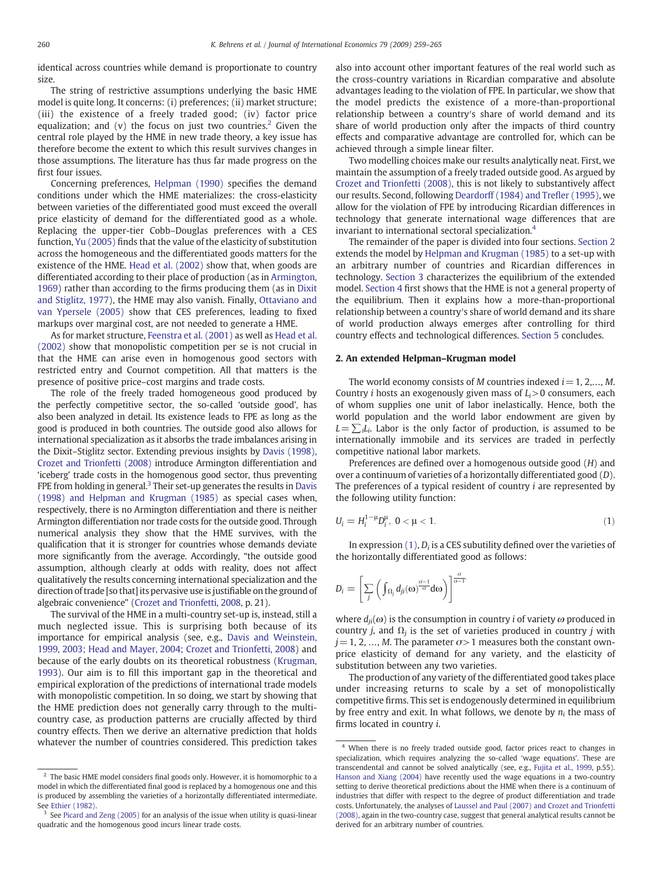identical across countries while demand is proportionate to country size.

The string of restrictive assumptions underlying the basic HME model is quite long. It concerns: (i) preferences; (ii) market structure; (iii) the existence of a freely traded good; (iv) factor price equalization; and (v) the focus on just two countries.<sup>2</sup> Given the central role played by the HME in new trade theory, a key issue has therefore become the extent to which this result survives changes in those assumptions. The literature has thus far made progress on the first four issues.

Concerning preferences, [Helpman \(1990\)](#page--1-0) specifies the demand conditions under which the HME materializes: the cross-elasticity between varieties of the differentiated good must exceed the overall price elasticity of demand for the differentiated good as a whole. Replacing the upper-tier Cobb–Douglas preferences with a CES function, [Yu \(2005\)](#page--1-0) finds that the value of the elasticity of substitution across the homogeneous and the differentiated goods matters for the existence of the HME. [Head et al. \(2002\)](#page--1-0) show that, when goods are differentiated according to their place of production (as in [Armington,](#page--1-0) [1969\)](#page--1-0) rather than according to the firms producing them (as in [Dixit](#page--1-0) [and Stiglitz, 1977\)](#page--1-0), the HME may also vanish. Finally, [Ottaviano and](#page--1-0) [van Ypersele \(2005\)](#page--1-0) show that CES preferences, leading to fixed markups over marginal cost, are not needed to generate a HME.

As for market structure, [Feenstra et al. \(2001\)](#page--1-0) as well as [Head et al.](#page--1-0) [\(2002\)](#page--1-0) show that monopolistic competition per se is not crucial in that the HME can arise even in homogenous good sectors with restricted entry and Cournot competition. All that matters is the presence of positive price–cost margins and trade costs.

The role of the freely traded homogeneous good produced by the perfectly competitive sector, the so-called 'outside good', has also been analyzed in detail. Its existence leads to FPE as long as the good is produced in both countries. The outside good also allows for international specialization as it absorbs the trade imbalances arising in the Dixit–Stiglitz sector. Extending previous insights by [Davis \(1998\),](#page--1-0) [Crozet and Trionfetti \(2008\)](#page--1-0) introduce Armington differentiation and 'iceberg' trade costs in the homogenous good sector, thus preventing FPE from holding in general.<sup>3</sup> Their set-up generates the results in [Davis](#page--1-0) [\(1998\) and Helpman and Krugman \(1985\)](#page--1-0) as special cases when, respectively, there is no Armington differentiation and there is neither Armington differentiation nor trade costs for the outside good. Through numerical analysis they show that the HME survives, with the qualification that it is stronger for countries whose demands deviate more significantly from the average. Accordingly, "the outside good assumption, although clearly at odds with reality, does not affect qualitatively the results concerning international specialization and the direction of trade [so that] its pervasive use is justifiable on the ground of algebraic convenience" [\(Crozet and Trionfetti, 2008](#page--1-0), p. 21).

The survival of the HME in a multi-country set-up is, instead, still a much neglected issue. This is surprising both because of its importance for empirical analysis (see, e.g., [Davis and Weinstein,](#page--1-0) [1999, 2003; Head and Mayer, 2004; Crozet and Trionfetti, 2008](#page--1-0)) and because of the early doubts on its theoretical robustness [\(Krugman,](#page--1-0) [1993\)](#page--1-0). Our aim is to fill this important gap in the theoretical and empirical exploration of the predictions of international trade models with monopolistic competition. In so doing, we start by showing that the HME prediction does not generally carry through to the multicountry case, as production patterns are crucially affected by third country effects. Then we derive an alternative prediction that holds whatever the number of countries considered. This prediction takes also into account other important features of the real world such as the cross-country variations in Ricardian comparative and absolute advantages leading to the violation of FPE. In particular, we show that the model predicts the existence of a more-than-proportional relationship between a country′s share of world demand and its share of world production only after the impacts of third country effects and comparative advantage are controlled for, which can be achieved through a simple linear filter.

Two modelling choices make our results analytically neat. First, we maintain the assumption of a freely traded outside good. As argued by [Crozet and Trionfetti \(2008\),](#page--1-0) this is not likely to substantively affect our results. Second, following [Deardorff \(1984\) and Tre](#page--1-0)fler (1995), we allow for the violation of FPE by introducing Ricardian differences in technology that generate international wage differences that are invariant to international sectoral specialization.4

The remainder of the paper is divided into four sections. Section 2 extends the model by [Helpman and Krugman \(1985\)](#page--1-0) to a set-up with an arbitrary number of countries and Ricardian differences in technology. [Section 3](#page--1-0) characterizes the equilibrium of the extended model. [Section 4](#page--1-0) first shows that the HME is not a general property of the equilibrium. Then it explains how a more-than-proportional relationship between a country′s share of world demand and its share of world production always emerges after controlling for third country effects and technological differences. [Section 5](#page--1-0) concludes.

#### 2. An extended Helpman–Krugman model

The world economy consists of M countries indexed  $i = 1, 2, \dots, M$ . Country *i* hosts an exogenously given mass of  $L<sub>i</sub>$  > 0 consumers, each of whom supplies one unit of labor inelastically. Hence, both the world population and the world labor endowment are given by  $L=\sum_{i}L_{i}$ . Labor is the only factor of production, is assumed to be internationally immobile and its services are traded in perfectly competitive national labor markets.

Preferences are defined over a homogenous outside good (H) and over a continuum of varieties of a horizontally differentiated good (D). The preferences of a typical resident of country i are represented by the following utility function:

$$
U_i = H_i^{1-\mu} D_i^{\mu}, \ 0 < \mu < 1. \tag{1}
$$

In expression  $(1)$ ,  $D_i$  is a CES subutility defined over the varieties of the horizontally differentiated good as follows:

;

$$
D_i = \left[\sum_j \left(\int_{\Omega_j} d_{ji}(\omega)^{\frac{\sigma-1}{\sigma}} d\omega\right)\right]^{\frac{\sigma}{\sigma-1}}
$$

where  $d_{ii}(\omega)$  is the consumption in country *i* of variety  $\omega$  produced in country *j*, and  $\Omega_i$  is the set of varieties produced in country *j* with  $j = 1, 2, ..., M$ . The parameter  $\sigma > 1$  measures both the constant ownprice elasticity of demand for any variety, and the elasticity of substitution between any two varieties.

The production of any variety of the differentiated good takes place under increasing returns to scale by a set of monopolistically competitive firms. This set is endogenously determined in equilibrium by free entry and exit. In what follows, we denote by  $n_i$  the mass of firms located in country i.

 $^2\,$  The basic HME model considers final goods only. However, it is homomorphic to a model in which the differentiated final good is replaced by a homogenous one and this is produced by assembling the varieties of a horizontally differentiated intermediate. See [Ethier \(1982\).](#page--1-0)

<sup>&</sup>lt;sup>3</sup> See [Picard and Zeng \(2005\)](#page--1-0) for an analysis of the issue when utility is quasi-linear quadratic and the homogenous good incurs linear trade costs.

<sup>&</sup>lt;sup>4</sup> When there is no freely traded outside good, factor prices react to changes in specialization, which requires analyzing the so-called 'wage equations'. These are transcendental and cannot be solved analytically (see, e.g., [Fujita et al., 1999](#page--1-0), p.55). [Hanson and Xiang \(2004\)](#page--1-0) have recently used the wage equations in a two-country setting to derive theoretical predictions about the HME when there is a continuum of industries that differ with respect to the degree of product differentiation and trade costs. Unfortunately, the analyses of [Laussel and Paul \(2007\) and Crozet and Trionfetti](#page--1-0) [\(2008\),](#page--1-0) again in the two-country case, suggest that general analytical results cannot be derived for an arbitrary number of countries.